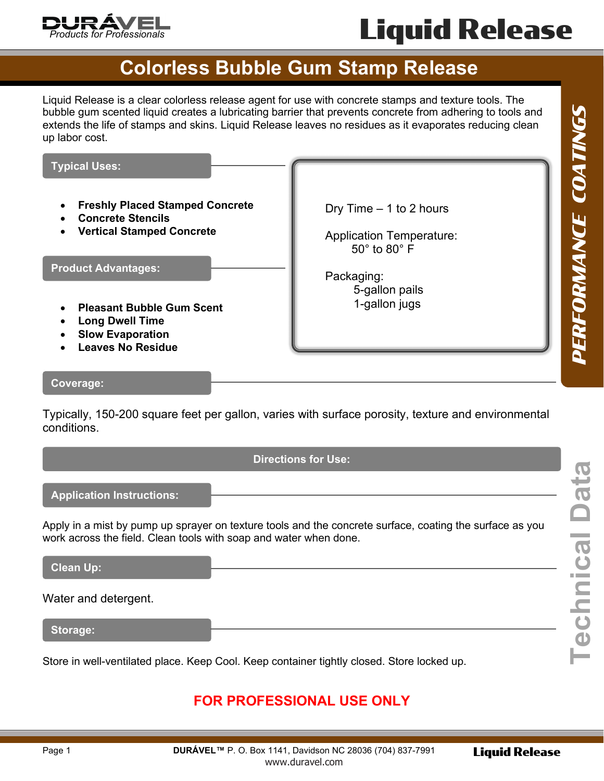

# Liquid Release

### **Colorless Bubble Gum Stamp Release**

Liquid Release is a clear colorless release agent for use with concrete stamps and texture tools. The bubble gum scented liquid creates a lubricating barrier that prevents concrete from adhering to tools and extends the life of stamps and skins. Liquid Release leaves no residues as it evaporates reducing clean up labor cost.

Dry Time – 1 to 2 hours

Application Temperature: 50° to 80° F

> 5-gallon pails 1-gallon jugs

Packaging:

#### **Typical Uses:**

- **Freshly Placed Stamped Concrete**
- **Concrete Stencils**
- **Vertical Stamped Concrete**

**Product Advantages:**

- **Pleasant Bubble Gum Scent**
- **Long Dwell Time**
- **Slow Evaporation**
- **Leaves No Residue**

#### **Coverage:**

Typically, 150-200 square feet per gallon, varies with surface porosity, texture and environmental conditions.

**Application Instructions:**

Apply in a mist by pump up sprayer on texture tools and the concrete surface, coating the surface as you work across the field. Clean tools with soap and water when done.

**Clean Up:**

Water and detergent.

**Storage:**

Store in well-ventilated place. Keep Cool. Keep container tightly closed. Store locked up.

### **FOR PROFESSIONAL USE ONLY**

PERFORMANCE COATINGS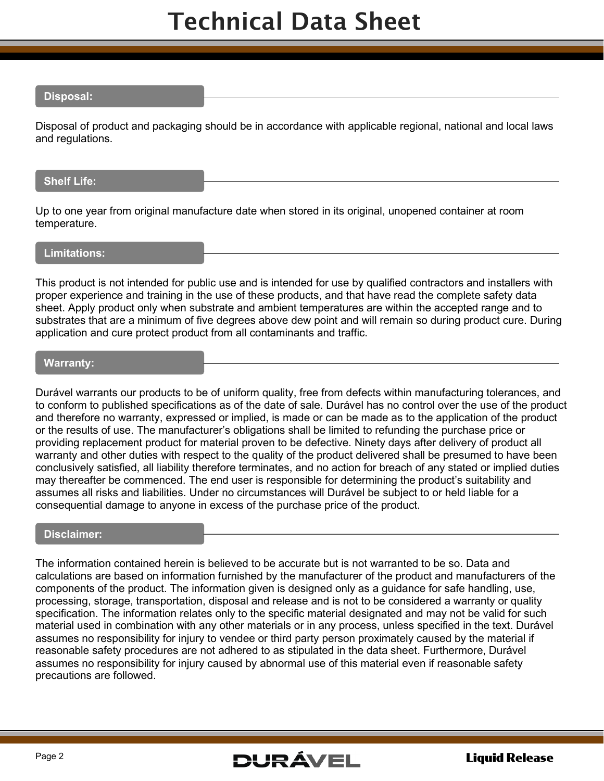# Technical Data Sheet

#### **Disposal:**

Disposal of product and packaging should be in accordance with applicable regional, national and local laws and regulations.

#### **Shelf Life:**

Up to one year from original manufacture date when stored in its original, unopened container at room temperature.

#### **Limitations:**

This product is not intended for public use and is intended for use by qualified contractors and installers with proper experience and training in the use of these products, and that have read the complete safety data sheet. Apply product only when substrate and ambient temperatures are within the accepted range and to substrates that are a minimum of five degrees above dew point and will remain so during product cure. During application and cure protect product from all contaminants and traffic.

#### **Warranty:**

Durável warrants our products to be of uniform quality, free from defects within manufacturing tolerances, and to conform to published specifications as of the date of sale. Durável has no control over the use of the product and therefore no warranty, expressed or implied, is made or can be made as to the application of the product or the results of use. The manufacturer's obligations shall be limited to refunding the purchase price or providing replacement product for material proven to be defective. Ninety days after delivery of product all warranty and other duties with respect to the quality of the product delivered shall be presumed to have been conclusively satisfied, all liability therefore terminates, and no action for breach of any stated or implied duties may thereafter be commenced. The end user is responsible for determining the product's suitability and assumes all risks and liabilities. Under no circumstances will Durável be subject to or held liable for a consequential damage to anyone in excess of the purchase price of the product.

#### **Disclaimer:**

The information contained herein is believed to be accurate but is not warranted to be so. Data and calculations are based on information furnished by the manufacturer of the product and manufacturers of the components of the product. The information given is designed only as a guidance for safe handling, use, processing, storage, transportation, disposal and release and is not to be considered a warranty or quality specification. The information relates only to the specific material designated and may not be valid for such material used in combination with any other materials or in any process, unless specified in the text. Durável assumes no responsibility for injury to vendee or third party person proximately caused by the material if reasonable safety procedures are not adhered to as stipulated in the data sheet. Furthermore, Durável assumes no responsibility for injury caused by abnormal use of this material even if reasonable safety precautions are followed.